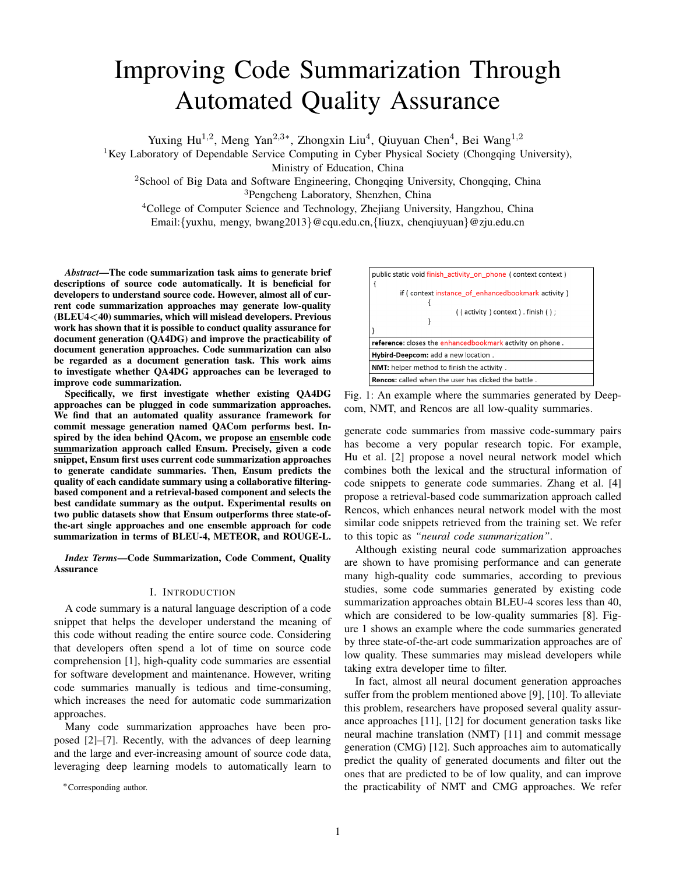# Improving Code Summarization Through Automated Quality Assurance

Yuxing Hu<sup>1,2</sup>, Meng Yan<sup>2,3∗</sup>, Zhongxin Liu<sup>4</sup>, Qiuyuan Chen<sup>4</sup>, Bei Wang<sup>1,2</sup>

<sup>1</sup>Key Laboratory of Dependable Service Computing in Cyber Physical Society (Chongqing University),

Ministry of Education, China

<sup>2</sup>School of Big Data and Software Engineering, Chongqing University, Chongqing, China <sup>3</sup>Pengcheng Laboratory, Shenzhen, China

<sup>4</sup>College of Computer Science and Technology, Zhejiang University, Hangzhou, China Email:{yuxhu, mengy, bwang2013}@cqu.edu.cn,{liuzx, chenqiuyuan}@zju.edu.cn

*Abstract*—The code summarization task aims to generate brief descriptions of source code automatically. It is beneficial for developers to understand source code. However, almost all of current code summarization approaches may generate low-quality (BLEU4<40) summaries, which will mislead developers. Previous work has shown that it is possible to conduct quality assurance for document generation (QA4DG) and improve the practicability of document generation approaches. Code summarization can also be regarded as a document generation task. This work aims to investigate whether QA4DG approaches can be leveraged to improve code summarization.

Specifically, we first investigate whether existing QA4DG approaches can be plugged in code summarization approaches. We find that an automated quality assurance framework for commit message generation named QACom performs best. Inspired by the idea behind QAcom, we propose an ensemble code summarization approach called Ensum. Precisely, given a code snippet, Ensum first uses current code summarization approaches to generate candidate summaries. Then, Ensum predicts the quality of each candidate summary using a collaborative filteringbased component and a retrieval-based component and selects the best candidate summary as the output. Experimental results on two public datasets show that Ensum outperforms three state-ofthe-art single approaches and one ensemble approach for code summarization in terms of BLEU-4, METEOR, and ROUGE-L.

*Index Terms*—Code Summarization, Code Comment, Quality Assurance

# I. INTRODUCTION

A code summary is a natural language description of a code snippet that helps the developer understand the meaning of this code without reading the entire source code. Considering that developers often spend a lot of time on source code comprehension [1], high-quality code summaries are essential for software development and maintenance. However, writing code summaries manually is tedious and time-consuming, which increases the need for automatic code summarization approaches.

Many code summarization approaches have been proposed [2]–[7]. Recently, with the advances of deep learning and the large and ever-increasing amount of source code data, leveraging deep learning models to automatically learn to

∗Corresponding author.



Fig. 1: An example where the summaries generated by Deepcom, NMT, and Rencos are all low-quality summaries.

generate code summaries from massive code-summary pairs has become a very popular research topic. For example, Hu et al. [2] propose a novel neural network model which combines both the lexical and the structural information of code snippets to generate code summaries. Zhang et al. [4] propose a retrieval-based code summarization approach called Rencos, which enhances neural network model with the most similar code snippets retrieved from the training set. We refer to this topic as *"neural code summarization"*.

Although existing neural code summarization approaches are shown to have promising performance and can generate many high-quality code summaries, according to previous studies, some code summaries generated by existing code summarization approaches obtain BLEU-4 scores less than 40, which are considered to be low-quality summaries [8]. Figure 1 shows an example where the code summaries generated by three state-of-the-art code summarization approaches are of low quality. These summaries may mislead developers while taking extra developer time to filter.

In fact, almost all neural document generation approaches suffer from the problem mentioned above [9], [10]. To alleviate this problem, researchers have proposed several quality assurance approaches [11], [12] for document generation tasks like neural machine translation (NMT) [11] and commit message generation (CMG) [12]. Such approaches aim to automatically predict the quality of generated documents and filter out the ones that are predicted to be of low quality, and can improve the practicability of NMT and CMG approaches. We refer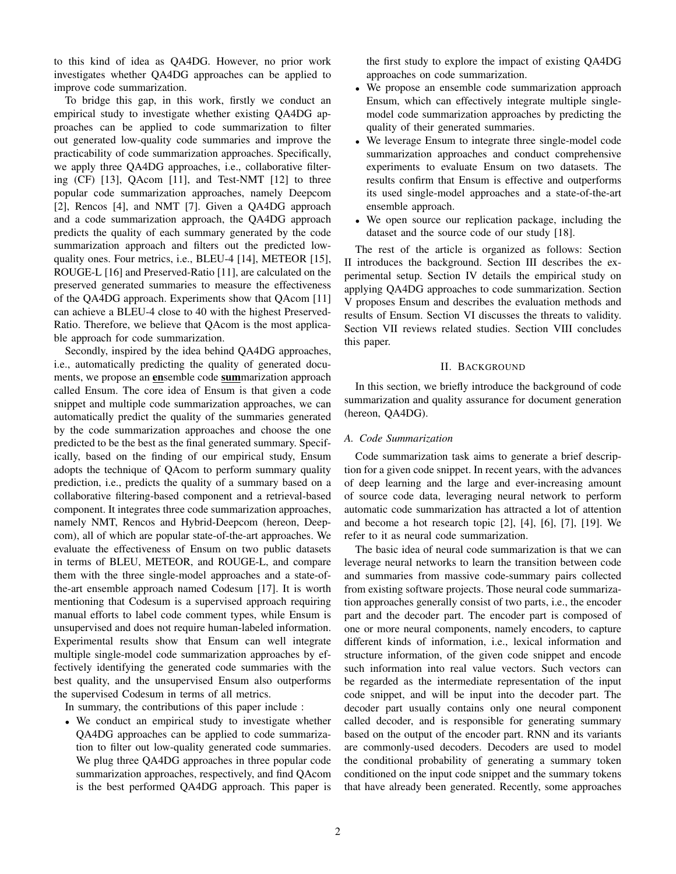to this kind of idea as QA4DG. However, no prior work investigates whether QA4DG approaches can be applied to improve code summarization.

To bridge this gap, in this work, firstly we conduct an empirical study to investigate whether existing QA4DG approaches can be applied to code summarization to filter out generated low-quality code summaries and improve the practicability of code summarization approaches. Specifically, we apply three QA4DG approaches, i.e., collaborative filtering (CF) [13], QAcom [11], and Test-NMT [12] to three popular code summarization approaches, namely Deepcom [2], Rencos [4], and NMT [7]. Given a QA4DG approach and a code summarization approach, the QA4DG approach predicts the quality of each summary generated by the code summarization approach and filters out the predicted lowquality ones. Four metrics, i.e., BLEU-4 [14], METEOR [15], ROUGE-L [16] and Preserved-Ratio [11], are calculated on the preserved generated summaries to measure the effectiveness of the QA4DG approach. Experiments show that QAcom [11] can achieve a BLEU-4 close to 40 with the highest Preserved-Ratio. Therefore, we believe that QAcom is the most applicable approach for code summarization.

Secondly, inspired by the idea behind QA4DG approaches, i.e., automatically predicting the quality of generated documents, we propose an ensemble code summarization approach called Ensum. The core idea of Ensum is that given a code snippet and multiple code summarization approaches, we can automatically predict the quality of the summaries generated by the code summarization approaches and choose the one predicted to be the best as the final generated summary. Specifically, based on the finding of our empirical study, Ensum adopts the technique of QAcom to perform summary quality prediction, i.e., predicts the quality of a summary based on a collaborative filtering-based component and a retrieval-based component. It integrates three code summarization approaches, namely NMT, Rencos and Hybrid-Deepcom (hereon, Deepcom), all of which are popular state-of-the-art approaches. We evaluate the effectiveness of Ensum on two public datasets in terms of BLEU, METEOR, and ROUGE-L, and compare them with the three single-model approaches and a state-ofthe-art ensemble approach named Codesum [17]. It is worth mentioning that Codesum is a supervised approach requiring manual efforts to label code comment types, while Ensum is unsupervised and does not require human-labeled information. Experimental results show that Ensum can well integrate multiple single-model code summarization approaches by effectively identifying the generated code summaries with the best quality, and the unsupervised Ensum also outperforms the supervised Codesum in terms of all metrics.

In summary, the contributions of this paper include :

• We conduct an empirical study to investigate whether QA4DG approaches can be applied to code summarization to filter out low-quality generated code summaries. We plug three QA4DG approaches in three popular code summarization approaches, respectively, and find QAcom is the best performed QA4DG approach. This paper is the first study to explore the impact of existing QA4DG approaches on code summarization.

- We propose an ensemble code summarization approach Ensum, which can effectively integrate multiple singlemodel code summarization approaches by predicting the quality of their generated summaries.
- We leverage Ensum to integrate three single-model code summarization approaches and conduct comprehensive experiments to evaluate Ensum on two datasets. The results confirm that Ensum is effective and outperforms its used single-model approaches and a state-of-the-art ensemble approach.
- We open source our replication package, including the dataset and the source code of our study [18].

The rest of the article is organized as follows: Section II introduces the background. Section III describes the experimental setup. Section IV details the empirical study on applying QA4DG approaches to code summarization. Section V proposes Ensum and describes the evaluation methods and results of Ensum. Section VI discusses the threats to validity. Section VII reviews related studies. Section VIII concludes this paper.

# II. BACKGROUND

In this section, we briefly introduce the background of code summarization and quality assurance for document generation (hereon, QA4DG).

# *A. Code Summarization*

Code summarization task aims to generate a brief description for a given code snippet. In recent years, with the advances of deep learning and the large and ever-increasing amount of source code data, leveraging neural network to perform automatic code summarization has attracted a lot of attention and become a hot research topic [2], [4], [6], [7], [19]. We refer to it as neural code summarization.

The basic idea of neural code summarization is that we can leverage neural networks to learn the transition between code and summaries from massive code-summary pairs collected from existing software projects. Those neural code summarization approaches generally consist of two parts, i.e., the encoder part and the decoder part. The encoder part is composed of one or more neural components, namely encoders, to capture different kinds of information, i.e., lexical information and structure information, of the given code snippet and encode such information into real value vectors. Such vectors can be regarded as the intermediate representation of the input code snippet, and will be input into the decoder part. The decoder part usually contains only one neural component called decoder, and is responsible for generating summary based on the output of the encoder part. RNN and its variants are commonly-used decoders. Decoders are used to model the conditional probability of generating a summary token conditioned on the input code snippet and the summary tokens that have already been generated. Recently, some approaches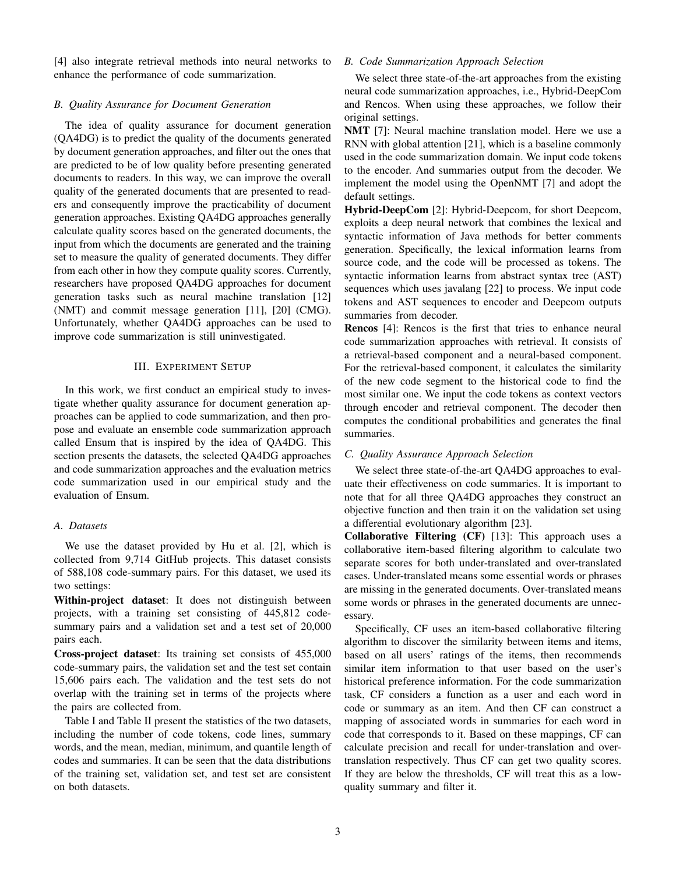[4] also integrate retrieval methods into neural networks to enhance the performance of code summarization.

# *B. Quality Assurance for Document Generation*

The idea of quality assurance for document generation (QA4DG) is to predict the quality of the documents generated by document generation approaches, and filter out the ones that are predicted to be of low quality before presenting generated documents to readers. In this way, we can improve the overall quality of the generated documents that are presented to readers and consequently improve the practicability of document generation approaches. Existing QA4DG approaches generally calculate quality scores based on the generated documents, the input from which the documents are generated and the training set to measure the quality of generated documents. They differ from each other in how they compute quality scores. Currently, researchers have proposed QA4DG approaches for document generation tasks such as neural machine translation [12] (NMT) and commit message generation [11], [20] (CMG). Unfortunately, whether QA4DG approaches can be used to improve code summarization is still uninvestigated.

# III. EXPERIMENT SETUP

In this work, we first conduct an empirical study to investigate whether quality assurance for document generation approaches can be applied to code summarization, and then propose and evaluate an ensemble code summarization approach called Ensum that is inspired by the idea of QA4DG. This section presents the datasets, the selected QA4DG approaches and code summarization approaches and the evaluation metrics code summarization used in our empirical study and the evaluation of Ensum.

# *A. Datasets*

We use the dataset provided by Hu et al. [2], which is collected from 9,714 GitHub projects. This dataset consists of 588,108 code-summary pairs. For this dataset, we used its two settings:

Within-project dataset: It does not distinguish between projects, with a training set consisting of 445,812 codesummary pairs and a validation set and a test set of 20,000 pairs each.

Cross-project dataset: Its training set consists of 455,000 code-summary pairs, the validation set and the test set contain 15,606 pairs each. The validation and the test sets do not overlap with the training set in terms of the projects where the pairs are collected from.

Table I and Table II present the statistics of the two datasets, including the number of code tokens, code lines, summary words, and the mean, median, minimum, and quantile length of codes and summaries. It can be seen that the data distributions of the training set, validation set, and test set are consistent on both datasets.

# *B. Code Summarization Approach Selection*

We select three state-of-the-art approaches from the existing neural code summarization approaches, i.e., Hybrid-DeepCom and Rencos. When using these approaches, we follow their original settings.

NMT [7]: Neural machine translation model. Here we use a RNN with global attention [21], which is a baseline commonly used in the code summarization domain. We input code tokens to the encoder. And summaries output from the decoder. We implement the model using the OpenNMT [7] and adopt the default settings.

Hybrid-DeepCom [2]: Hybrid-Deepcom, for short Deepcom, exploits a deep neural network that combines the lexical and syntactic information of Java methods for better comments generation. Specifically, the lexical information learns from source code, and the code will be processed as tokens. The syntactic information learns from abstract syntax tree (AST) sequences which uses javalang [22] to process. We input code tokens and AST sequences to encoder and Deepcom outputs summaries from decoder.

Rencos [4]: Rencos is the first that tries to enhance neural code summarization approaches with retrieval. It consists of a retrieval-based component and a neural-based component. For the retrieval-based component, it calculates the similarity of the new code segment to the historical code to find the most similar one. We input the code tokens as context vectors through encoder and retrieval component. The decoder then computes the conditional probabilities and generates the final summaries.

# *C. Quality Assurance Approach Selection*

We select three state-of-the-art QA4DG approaches to evaluate their effectiveness on code summaries. It is important to note that for all three QA4DG approaches they construct an objective function and then train it on the validation set using a differential evolutionary algorithm [23].

Collaborative Filtering (CF) [13]: This approach uses a collaborative item-based filtering algorithm to calculate two separate scores for both under-translated and over-translated cases. Under-translated means some essential words or phrases are missing in the generated documents. Over-translated means some words or phrases in the generated documents are unnecessary.

Specifically, CF uses an item-based collaborative filtering algorithm to discover the similarity between items and items, based on all users' ratings of the items, then recommends similar item information to that user based on the user's historical preference information. For the code summarization task, CF considers a function as a user and each word in code or summary as an item. And then CF can construct a mapping of associated words in summaries for each word in code that corresponds to it. Based on these mappings, CF can calculate precision and recall for under-translation and overtranslation respectively. Thus CF can get two quality scores. If they are below the thresholds, CF will treat this as a lowquality summary and filter it.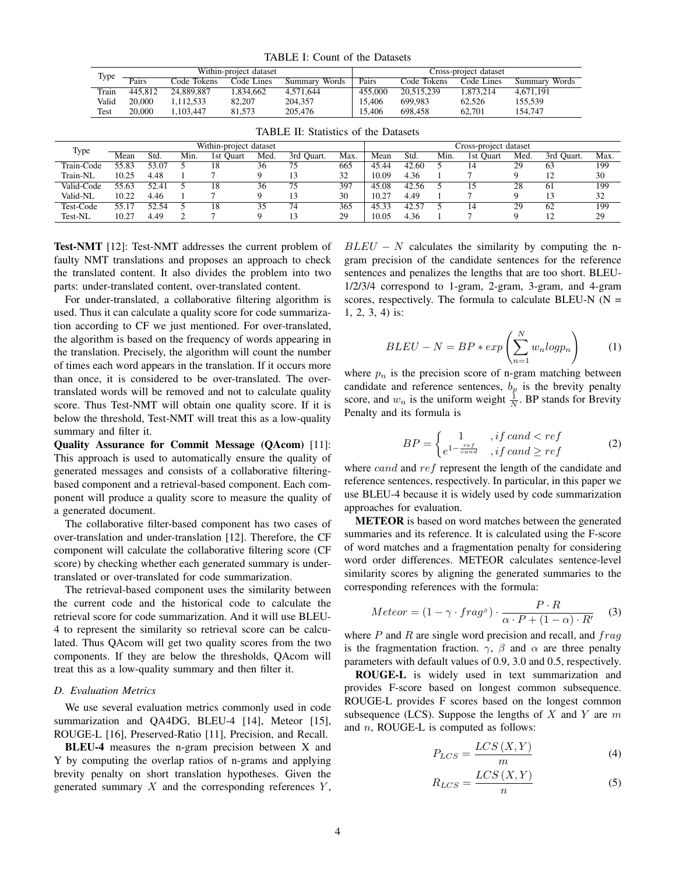TABLE I: Count of the Datasets

| Type  |         |             | Within-project dataset |               | Cross-project dataset |             |            |               |  |
|-------|---------|-------------|------------------------|---------------|-----------------------|-------------|------------|---------------|--|
|       | Pairs   | Code Tokens | Code Lines             | Summary Words | Pairs                 | Code Tokens | Code Lines | Summary Words |  |
| Train | 445.812 | 24.889.887  | 1.834.662              | 4.571.644     | 455,000               | 20.515.239  | 1.873.214  | 4.671.191     |  |
| Valid | 20,000  | 1.112.533   | 82,207                 | 204.357       | 15,406                | 699.983     | 62.526     | 155.539       |  |
| Test  | 20,000  | 1.103.447   | 81.573                 | 205,476       | 15,406                | 698.458     | 62.701     | 154,747       |  |

|            |       |       |      | Within-project dataset |      |               |      |       |       |      | Cross-project dataset |      |            |      |
|------------|-------|-------|------|------------------------|------|---------------|------|-------|-------|------|-----------------------|------|------------|------|
| Type       | Mean  | Std.  | Min. | 1st<br><b>Ouart</b>    | Med. | Ouart.<br>3rd | Max. | Mean  | Std.  | Min. | l st<br>Ouart         | Med. | 3rd Ouart. | Max. |
| Train-Code | 55.83 | 53.07 |      |                        | 36   | 75            | 665  | 45.44 | 42.60 |      | 14                    | 29   | 63         | 199  |
| Train-NL   | 10.25 | 4.48  |      |                        |      |               | 32   | 10.09 | 4.36  |      |                       |      |            | 30   |
| Valid-Code | 55.63 | 52.41 |      |                        | 36   | 75            | 397  | 45.08 | 42.56 |      |                       | 28   | 61         | 199  |
| Valid-NL   | 10.22 | 4.46  |      |                        |      |               | 30   | 10.27 | 4.49  |      |                       |      |            | 32   |
| Test-Code  | 55.17 | 52.54 |      |                        | 35   | 74            | 365  | 45.33 | 42.5  |      |                       | 29   | 62         | 199  |
| Test-NL    | 10.27 | 4.49  |      |                        |      |               | 29   | 10.05 | 4.36  |      |                       |      |            | 29   |

TABLE II: Statistics of the Datasets

Test-NMT [12]: Test-NMT addresses the current problem of faulty NMT translations and proposes an approach to check the translated content. It also divides the problem into two parts: under-translated content, over-translated content.

For under-translated, a collaborative filtering algorithm is used. Thus it can calculate a quality score for code summarization according to CF we just mentioned. For over-translated, the algorithm is based on the frequency of words appearing in the translation. Precisely, the algorithm will count the number of times each word appears in the translation. If it occurs more than once, it is considered to be over-translated. The overtranslated words will be removed and not to calculate quality score. Thus Test-NMT will obtain one quality score. If it is below the threshold, Test-NMT will treat this as a low-quality summary and filter it.

Quality Assurance for Commit Message (QAcom) [11]: This approach is used to automatically ensure the quality of generated messages and consists of a collaborative filteringbased component and a retrieval-based component. Each component will produce a quality score to measure the quality of a generated document.

The collaborative filter-based component has two cases of over-translation and under-translation [12]. Therefore, the CF component will calculate the collaborative filtering score (CF score) by checking whether each generated summary is undertranslated or over-translated for code summarization.

The retrieval-based component uses the similarity between the current code and the historical code to calculate the retrieval score for code summarization. And it will use BLEU-4 to represent the similarity so retrieval score can be calculated. Thus QAcom will get two quality scores from the two components. If they are below the thresholds, QAcom will treat this as a low-quality summary and then filter it.

# *D. Evaluation Metrics*

We use several evaluation metrics commonly used in code summarization and QA4DG, BLEU-4 [14], Meteor [15], ROUGE-L [16], Preserved-Ratio [11], Precision, and Recall.

BLEU-4 measures the n-gram precision between X and Y by computing the overlap ratios of n-grams and applying brevity penalty on short translation hypotheses. Given the generated summary  $X$  and the corresponding references  $Y$ ,

 $BLEU - N$  calculates the similarity by computing the ngram precision of the candidate sentences for the reference sentences and penalizes the lengths that are too short. BLEU-1/2/3/4 correspond to 1-gram, 2-gram, 3-gram, and 4-gram scores, respectively. The formula to calculate BLEU-N  $(N =$ 1, 2, 3, 4) is:

$$
BLEU - N = BP * exp\left(\sum_{n=1}^{N} w_n log p_n\right) \tag{1}
$$

where  $p_n$  is the precision score of n-gram matching between candidate and reference sentences,  $b_p$  is the brevity penalty score, and  $w_n$  is the uniform weight  $\frac{1}{N}$ . BP stands for Brevity Penalty and its formula is

$$
BP = \begin{cases} 1 & , if \, cand < ref \\ e^{1 - \frac{ref}{cand}} & , if \, cand \ge ref \end{cases} \tag{2}
$$

where *cand* and ref represent the length of the candidate and reference sentences, respectively. In particular, in this paper we use BLEU-4 because it is widely used by code summarization approaches for evaluation.

METEOR is based on word matches between the generated summaries and its reference. It is calculated using the F-score of word matches and a fragmentation penalty for considering word order differences. METEOR calculates sentence-level similarity scores by aligning the generated summaries to the corresponding references with the formula:

$$
Meteor = (1 - \gamma \cdot frag^{\beta}) \cdot \frac{P \cdot R}{\alpha \cdot P + (1 - \alpha) \cdot R'} \tag{3}
$$

where  $P$  and  $R$  are single word precision and recall, and  $frag$ is the fragmentation fraction.  $\gamma$ ,  $\beta$  and  $\alpha$  are three penalty parameters with default values of 0.9, 3.0 and 0.5, respectively.

ROUGE-L is widely used in text summarization and provides F-score based on longest common subsequence. ROUGE-L provides F scores based on the longest common subsequence (LCS). Suppose the lengths of  $X$  and  $Y$  are  $m$ and  $n$ , ROUGE-L is computed as follows:

$$
P_{LCS} = \frac{LCS\left(X, Y\right)}{m} \tag{4}
$$

$$
R_{LCS} = \frac{LCS\left(X, Y\right)}{n} \tag{5}
$$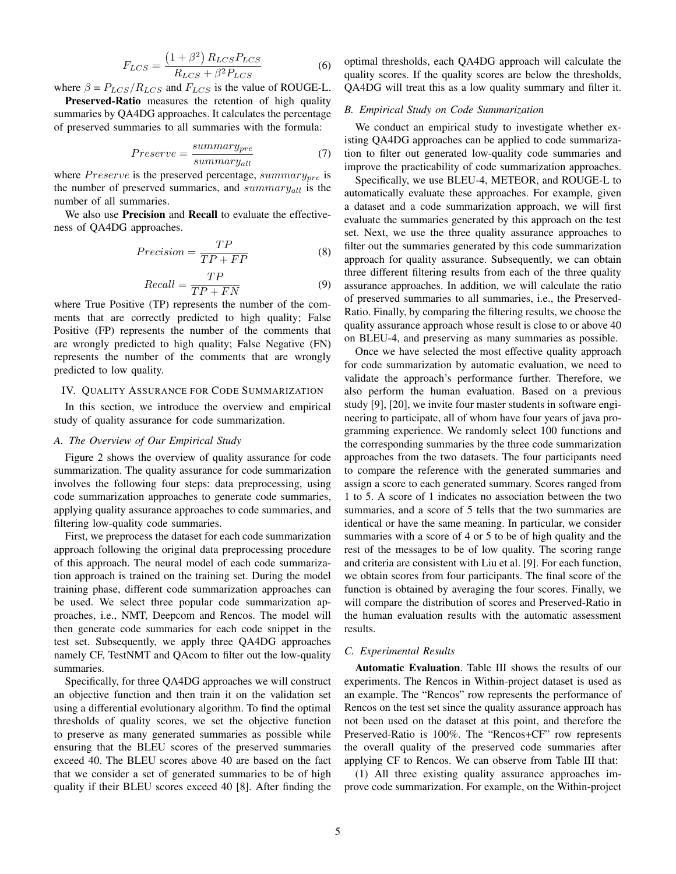$$
F_{LCS} = \frac{(1+\beta^2) R_{LCS} P_{LCS}}{R_{LCS} + \beta^2 P_{LCS}}
$$
(6)

where  $\beta = P_{LCS}/R_{LCS}$  and  $F_{LCS}$  is the value of ROUGE-L.

Preserved-Ratio measures the retention of high quality summaries by QA4DG approaches. It calculates the percentage of preserved summaries to all summaries with the formula:

$$
Preserve = \frac{summary_{pre}}{summary_{all}} \tag{7}
$$

where  $Preserve$  is the preserved percentage,  $summary_{pre}$  is the number of preserved summaries, and  $summary_{all}$  is the number of all summaries.

We also use **Precision** and **Recall** to evaluate the effectiveness of QA4DG approaches.

$$
Precision = \frac{TP}{TP + FP}
$$
 (8)

$$
Recall = \frac{TP}{TP + FN} \tag{9}
$$

where True Positive (TP) represents the number of the comments that are correctly predicted to high quality; False Positive (FP) represents the number of the comments that are wrongly predicted to high quality; False Negative (FN) represents the number of the comments that are wrongly predicted to low quality.

### IV. QUALITY ASSURANCE FOR CODE SUMMARIZATION

In this section, we introduce the overview and empirical study of quality assurance for code summarization.

#### *A. The Overview of Our Empirical Study*

Figure 2 shows the overview of quality assurance for code summarization. The quality assurance for code summarization involves the following four steps: data preprocessing, using code summarization approaches to generate code summaries, applying quality assurance approaches to code summaries, and filtering low-quality code summaries.

First, we preprocess the dataset for each code summarization approach following the original data preprocessing procedure of this approach. The neural model of each code summarization approach is trained on the training set. During the model training phase, different code summarization approaches can be used. We select three popular code summarization approaches, i.e., NMT, Deepcom and Rencos. The model will then generate code summaries for each code snippet in the test set. Subsequently, we apply three QA4DG approaches namely CF, TestNMT and QAcom to filter out the low-quality summaries.

Specifically, for three QA4DG approaches we will construct an objective function and then train it on the validation set using a differential evolutionary algorithm. To find the optimal thresholds of quality scores, we set the objective function to preserve as many generated summaries as possible while ensuring that the BLEU scores of the preserved summaries exceed 40. The BLEU scores above 40 are based on the fact that we consider a set of generated summaries to be of high quality if their BLEU scores exceed 40 [8]. After finding the optimal thresholds, each QA4DG approach will calculate the quality scores. If the quality scores are below the thresholds, QA4DG will treat this as a low quality summary and filter it.

# *B. Empirical Study on Code Summarization*

We conduct an empirical study to investigate whether existing QA4DG approaches can be applied to code summarization to filter out generated low-quality code summaries and improve the practicability of code summarization approaches.

Specifically, we use BLEU-4, METEOR, and ROUGE-L to automatically evaluate these approaches. For example, given a dataset and a code summarization approach, we will first evaluate the summaries generated by this approach on the test set. Next, we use the three quality assurance approaches to filter out the summaries generated by this code summarization approach for quality assurance. Subsequently, we can obtain three different filtering results from each of the three quality assurance approaches. In addition, we will calculate the ratio of preserved summaries to all summaries, i.e., the Preserved-Ratio. Finally, by comparing the filtering results, we choose the quality assurance approach whose result is close to or above 40 on BLEU-4, and preserving as many summaries as possible.

Once we have selected the most effective quality approach for code summarization by automatic evaluation, we need to validate the approach's performance further. Therefore, we also perform the human evaluation. Based on a previous study [9], [20], we invite four master students in software engineering to participate, all of whom have four years of java programming experience. We randomly select 100 functions and the corresponding summaries by the three code summarization approaches from the two datasets. The four participants need to compare the reference with the generated summaries and assign a score to each generated summary. Scores ranged from 1 to 5. A score of 1 indicates no association between the two summaries, and a score of 5 tells that the two summaries are identical or have the same meaning. In particular, we consider summaries with a score of 4 or 5 to be of high quality and the rest of the messages to be of low quality. The scoring range and criteria are consistent with Liu et al. [9]. For each function, we obtain scores from four participants. The final score of the function is obtained by averaging the four scores. Finally, we will compare the distribution of scores and Preserved-Ratio in the human evaluation results with the automatic assessment results.

# *C. Experimental Results*

Automatic Evaluation. Table III shows the results of our experiments. The Rencos in Within-project dataset is used as an example. The "Rencos" row represents the performance of Rencos on the test set since the quality assurance approach has not been used on the dataset at this point, and therefore the Preserved-Ratio is 100%. The "Rencos+CF" row represents the overall quality of the preserved code summaries after applying CF to Rencos. We can observe from Table III that:

(1) All three existing quality assurance approaches improve code summarization. For example, on the Within-project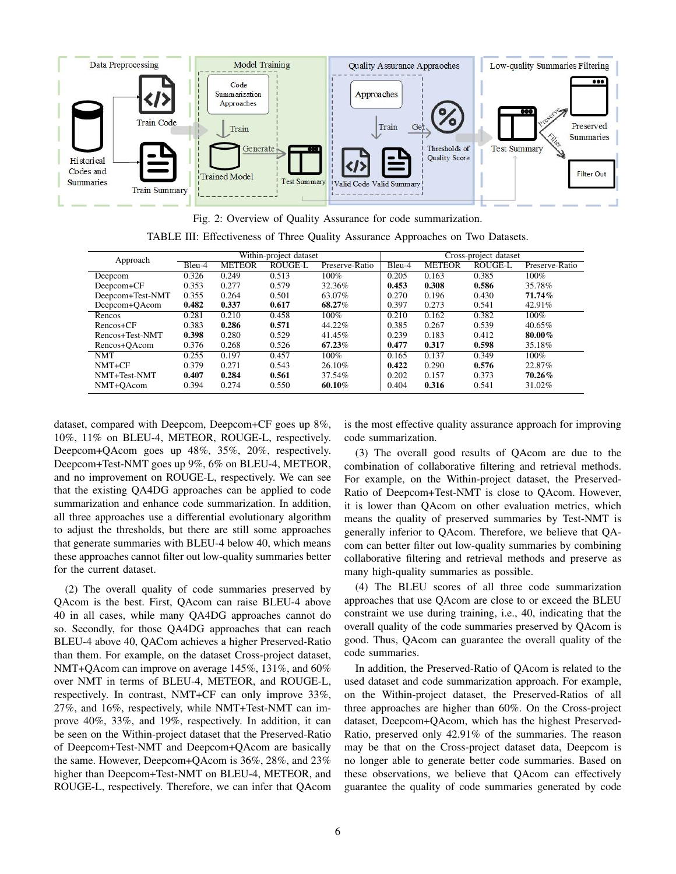

Fig. 2: Overview of Quality Assurance for code summarization. TABLE III: Effectiveness of Three Quality Assurance Approaches on Two Datasets.

| Approach         | Within-project dataset |               |                |                |        | Cross-project dataset |                |                |  |  |
|------------------|------------------------|---------------|----------------|----------------|--------|-----------------------|----------------|----------------|--|--|
|                  | Bleu-4                 | <b>METEOR</b> | <b>ROUGE-L</b> | Preserve-Ratio | Bleu-4 | <b>METEOR</b>         | <b>ROUGE-L</b> | Preserve-Ratio |  |  |
| Deepcom          | 0.326                  | 0.249         | 0.513          | $100\%$        | 0.205  | 0.163                 | 0.385          | 100%           |  |  |
| Deepcom+CF       | 0.353                  | 0.277         | 0.579          | 32.36%         | 0.453  | 0.308                 | 0.586          | 35.78%         |  |  |
| Deepcom+Test-NMT | 0.355                  | 0.264         | 0.501          | 63.07%         | 0.270  | 0.196                 | 0.430          | 71.74%         |  |  |
| Deepcom+OAcom    | 0.482                  | 0.337         | 0.617          | 68.27%         | 0.397  | 0.273                 | 0.541          | 42.91%         |  |  |
| Rencos           | 0.281                  | 0.210         | 0.458          | 100%           | 0.210  | 0.162                 | 0.382          | 100%           |  |  |
| Rencos+CF        | 0.383                  | 0.286         | 0.571          | 44.22%         | 0.385  | 0.267                 | 0.539          | 40.65%         |  |  |
| Rencos+Test-NMT  | 0.398                  | 0.280         | 0.529          | 41.45%         | 0.239  | 0.183                 | 0.412          | 80.00%         |  |  |
| Rencos+OAcom     | 0.376                  | 0.268         | 0.526          | 67.23%         | 0.477  | 0.317                 | 0.598          | 35.18%         |  |  |
| NMT              | 0.255                  | 0.197         | 0.457          | 100%           | 0.165  | 0.137                 | 0.349          | 100%           |  |  |
| NMT+CF           | 0.379                  | 0.271         | 0.543          | 26.10%         | 0.422  | 0.290                 | 0.576          | 22.87%         |  |  |
| NMT+Test-NMT     | 0.407                  | 0.284         | 0.561          | 37.54%         | 0.202  | 0.157                 | 0.373          | 70.26%         |  |  |
| NMT+OAcom        | 0.394                  | 0.274         | 0.550          | 60.10%         | 0.404  | 0.316                 | 0.541          | 31.02%         |  |  |

dataset, compared with Deepcom, Deepcom+CF goes up 8%, 10%, 11% on BLEU-4, METEOR, ROUGE-L, respectively. Deepcom+QAcom goes up 48%, 35%, 20%, respectively. Deepcom+Test-NMT goes up 9%, 6% on BLEU-4, METEOR, and no improvement on ROUGE-L, respectively. We can see that the existing QA4DG approaches can be applied to code summarization and enhance code summarization. In addition, all three approaches use a differential evolutionary algorithm to adjust the thresholds, but there are still some approaches that generate summaries with BLEU-4 below 40, which means these approaches cannot filter out low-quality summaries better for the current dataset.

(2) The overall quality of code summaries preserved by QAcom is the best. First, QAcom can raise BLEU-4 above 40 in all cases, while many QA4DG approaches cannot do so. Secondly, for those QA4DG approaches that can reach BLEU-4 above 40, QACom achieves a higher Preserved-Ratio than them. For example, on the dataset Cross-project dataset, NMT+QAcom can improve on average 145%, 131%, and 60% over NMT in terms of BLEU-4, METEOR, and ROUGE-L, respectively. In contrast, NMT+CF can only improve 33%, 27%, and 16%, respectively, while NMT+Test-NMT can improve 40%, 33%, and 19%, respectively. In addition, it can be seen on the Within-project dataset that the Preserved-Ratio of Deepcom+Test-NMT and Deepcom+QAcom are basically the same. However, Deepcom+QAcom is 36%, 28%, and 23% higher than Deepcom+Test-NMT on BLEU-4, METEOR, and ROUGE-L, respectively. Therefore, we can infer that QAcom is the most effective quality assurance approach for improving code summarization.

(3) The overall good results of QAcom are due to the combination of collaborative filtering and retrieval methods. For example, on the Within-project dataset, the Preserved-Ratio of Deepcom+Test-NMT is close to QAcom. However, it is lower than QAcom on other evaluation metrics, which means the quality of preserved summaries by Test-NMT is generally inferior to QAcom. Therefore, we believe that QAcom can better filter out low-quality summaries by combining collaborative filtering and retrieval methods and preserve as many high-quality summaries as possible.

(4) The BLEU scores of all three code summarization approaches that use QAcom are close to or exceed the BLEU constraint we use during training, i.e., 40, indicating that the overall quality of the code summaries preserved by QAcom is good. Thus, QAcom can guarantee the overall quality of the code summaries.

In addition, the Preserved-Ratio of QAcom is related to the used dataset and code summarization approach. For example, on the Within-project dataset, the Preserved-Ratios of all three approaches are higher than 60%. On the Cross-project dataset, Deepcom+QAcom, which has the highest Preserved-Ratio, preserved only 42.91% of the summaries. The reason may be that on the Cross-project dataset data, Deepcom is no longer able to generate better code summaries. Based on these observations, we believe that QAcom can effectively guarantee the quality of code summaries generated by code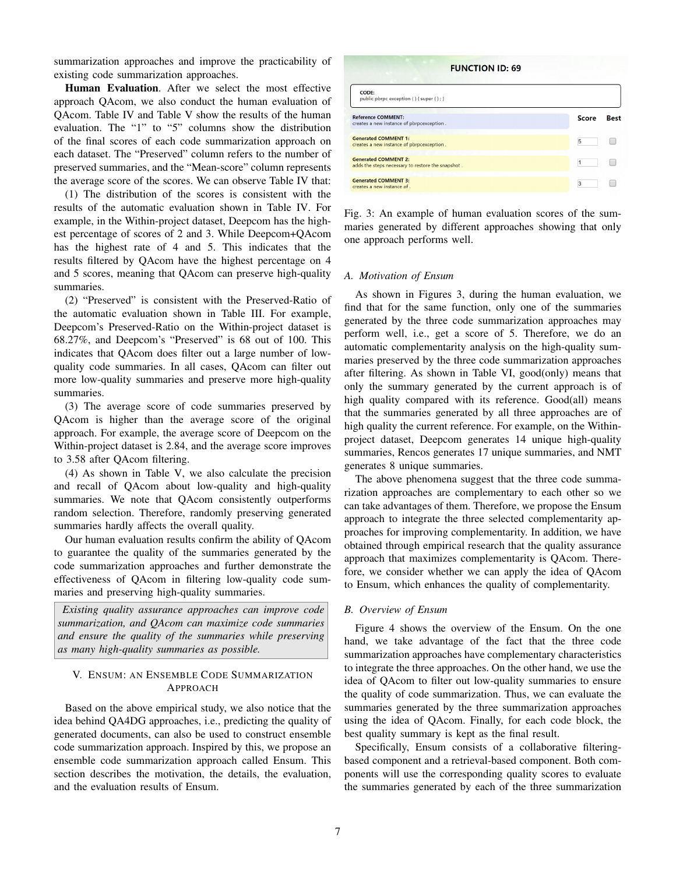summarization approaches and improve the practicability of existing code summarization approaches.

Human Evaluation. After we select the most effective approach QAcom, we also conduct the human evaluation of QAcom. Table IV and Table V show the results of the human evaluation. The "1" to "5" columns show the distribution of the final scores of each code summarization approach on each dataset. The "Preserved" column refers to the number of preserved summaries, and the "Mean-score" column represents the average score of the scores. We can observe Table IV that:

(1) The distribution of the scores is consistent with the results of the automatic evaluation shown in Table IV. For example, in the Within-project dataset, Deepcom has the highest percentage of scores of 2 and 3. While Deepcom+QAcom has the highest rate of 4 and 5. This indicates that the results filtered by QAcom have the highest percentage on 4 and 5 scores, meaning that QAcom can preserve high-quality summaries.

(2) "Preserved" is consistent with the Preserved-Ratio of the automatic evaluation shown in Table III. For example, Deepcom's Preserved-Ratio on the Within-project dataset is 68.27%, and Deepcom's "Preserved" is 68 out of 100. This indicates that QAcom does filter out a large number of lowquality code summaries. In all cases, QAcom can filter out more low-quality summaries and preserve more high-quality summaries.

(3) The average score of code summaries preserved by QAcom is higher than the average score of the original approach. For example, the average score of Deepcom on the Within-project dataset is 2.84, and the average score improves to 3.58 after QAcom filtering.

(4) As shown in Table V, we also calculate the precision and recall of QAcom about low-quality and high-quality summaries. We note that QAcom consistently outperforms random selection. Therefore, randomly preserving generated summaries hardly affects the overall quality.

Our human evaluation results confirm the ability of QAcom to guarantee the quality of the summaries generated by the code summarization approaches and further demonstrate the effectiveness of QAcom in filtering low-quality code summaries and preserving high-quality summaries.

*Existing quality assurance approaches can improve code summarization, and QAcom can maximize code summaries and ensure the quality of the summaries while preserving as many high-quality summaries as possible.*

# V. ENSUM: AN ENSEMBLE CODE SUMMARIZATION APPROACH

Based on the above empirical study, we also notice that the idea behind QA4DG approaches, i.e., predicting the quality of generated documents, can also be used to construct ensemble code summarization approach. Inspired by this, we propose an ensemble code summarization approach called Ensum. This section describes the motivation, the details, the evaluation, and the evaluation results of Ensum.



Fig. 3: An example of human evaluation scores of the summaries generated by different approaches showing that only one approach performs well.

### *A. Motivation of Ensum*

As shown in Figures 3, during the human evaluation, we find that for the same function, only one of the summaries generated by the three code summarization approaches may perform well, i.e., get a score of 5. Therefore, we do an automatic complementarity analysis on the high-quality summaries preserved by the three code summarization approaches after filtering. As shown in Table VI, good(only) means that only the summary generated by the current approach is of high quality compared with its reference. Good(all) means that the summaries generated by all three approaches are of high quality the current reference. For example, on the Withinproject dataset, Deepcom generates 14 unique high-quality summaries, Rencos generates 17 unique summaries, and NMT generates 8 unique summaries.

The above phenomena suggest that the three code summarization approaches are complementary to each other so we can take advantages of them. Therefore, we propose the Ensum approach to integrate the three selected complementarity approaches for improving complementarity. In addition, we have obtained through empirical research that the quality assurance approach that maximizes complementarity is QAcom. Therefore, we consider whether we can apply the idea of QAcom to Ensum, which enhances the quality of complementarity.

#### *B. Overview of Ensum*

Figure 4 shows the overview of the Ensum. On the one hand, we take advantage of the fact that the three code summarization approaches have complementary characteristics to integrate the three approaches. On the other hand, we use the idea of QAcom to filter out low-quality summaries to ensure the quality of code summarization. Thus, we can evaluate the summaries generated by the three summarization approaches using the idea of QAcom. Finally, for each code block, the best quality summary is kept as the final result.

Specifically, Ensum consists of a collaborative filteringbased component and a retrieval-based component. Both components will use the corresponding quality scores to evaluate the summaries generated by each of the three summarization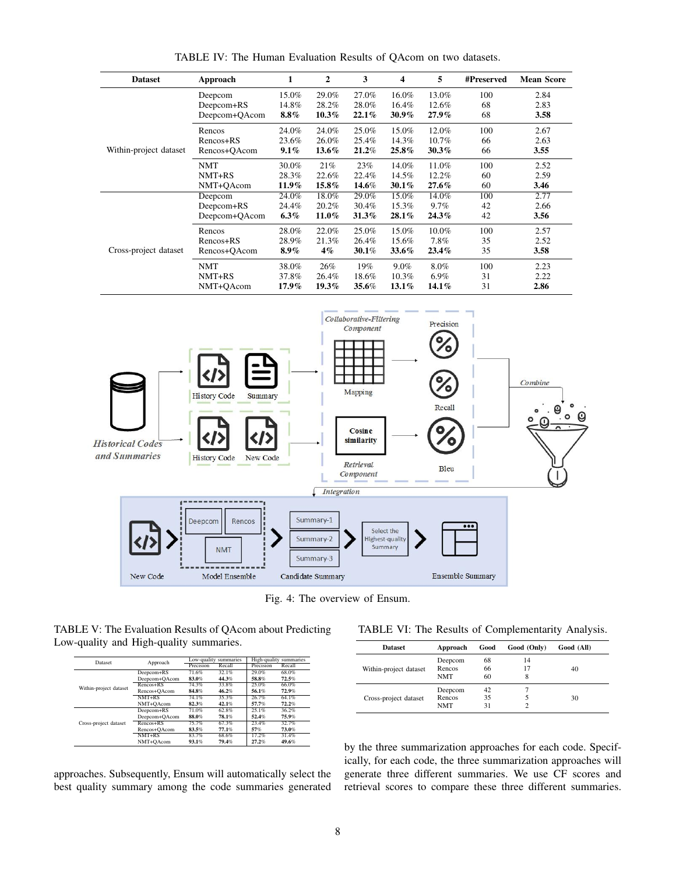|                                          | Approach                                                          | $\mathbf{1}$ | $\overline{2}$                      | 3                                                                | $\overline{\mathbf{4}}$                  | 5                     | #Preserved | <b>Mean Score</b> |
|------------------------------------------|-------------------------------------------------------------------|--------------|-------------------------------------|------------------------------------------------------------------|------------------------------------------|-----------------------|------------|-------------------|
|                                          | Deepcom                                                           | 15.0%        | 29.0%                               | 27.0%                                                            | 16.0%                                    | 13.0%                 | 100        | 2.84              |
|                                          | Deepcom+RS                                                        | 14.8%        | 28.2%                               | 28.0%                                                            | 16.4%                                    | 12.6%                 | 68         | 2.83              |
|                                          | Deepcom+QAcom                                                     | $8.8\%$      | $10.3\%$                            | $22.1\%$                                                         | 30.9%                                    | 27.9%                 | 68         | 3.58              |
|                                          | Rencos                                                            | 24.0%        | 24.0%                               | 25.0%                                                            | 15.0%                                    | 12.0%                 | 100        | 2.67              |
|                                          | Rencos+RS                                                         | 23.6%        | 26.0%                               | 25.4%                                                            | 14.3%                                    | 10.7%                 | 66         | 2.63              |
| Within-project dataset                   | Rencos+QAcom                                                      | 9.1%         | 13.6%                               | 21.2%                                                            | 25.8%                                    | 30.3%                 | 66         | 3.55              |
|                                          | <b>NMT</b>                                                        | 30.0%        | 21%                                 | 23%                                                              | 14.0%                                    | 11.0%                 | 100        | 2.52              |
|                                          | NMT+RS                                                            | 28.3%        | 22.6%                               | 22.4%                                                            | 14.5%                                    | 12.2%                 | 60         | 2.59              |
|                                          | NMT+QAcom                                                         | 11.9%        | 15.8%                               | 14.6%                                                            | $30.1\%$                                 | $27.6\%$              | 60         | 3.46              |
|                                          | Deepcom                                                           | 24.0%        | 18.0%                               | 29.0%                                                            | 15.0%                                    | 14.0%                 | 100        | 2.77              |
|                                          | Deepcom+RS                                                        | 24.4%        | 20.2%                               | 30.4%                                                            | 15.3%                                    | 9.7%                  | 42         | 2.66              |
|                                          | Deepcom+QAcom                                                     | $6.3\%$      | 11.0%                               | 31.3%                                                            | 28.1%                                    | 24.3%                 | 42         | 3.56              |
|                                          | Rencos                                                            | 28.0%        | 22.0%                               | 25.0%                                                            | 15.0%                                    | 10.0%                 | 100        | 2.57              |
|                                          | Rencos+RS                                                         | 28.9%        | 21.3%                               | 26.4%                                                            | 15.6%                                    | 7.8%                  | 35         | 2.52              |
| Cross-project dataset                    | Rencos+QAcom                                                      | $8.9\%$      | $4\%$                               | 30.1%                                                            | 33.6%                                    | 23.4%                 | 35         | 3.58              |
|                                          | <b>NMT</b>                                                        | 38.0%        | 26%                                 | 19%                                                              | 9.0%                                     | 8.0%                  | 100        | 2.23              |
|                                          | NMT+RS                                                            | 37.8%        | 26.4%                               | 18.6%                                                            | 10.3%                                    | 6.9%                  | 31         | 2.22              |
|                                          | NMT+QAcom                                                         | 17.9%        | 19.3%                               | 35.6%                                                            | 13.1%                                    | 14.1%                 | 31         | 2.86              |
|                                          |                                                                   |              |                                     |                                                                  |                                          |                       |            |                   |
|                                          | <b>History Code</b><br>Summary<br><b>History Code</b><br>New Code |              |                                     | Mapping<br><b>Cosine</b><br>similarity<br>Retrieval<br>Component |                                          | Recall<br><b>Bleu</b> |            | Combine           |
| <b>Historical Codes</b><br>and Summaries |                                                                   |              | <b>Integration</b>                  |                                                                  |                                          |                       |            |                   |
|                                          | Deepcom<br>Rencos<br><b>NMT</b>                                   |              | Summary-1<br>Summary-2<br>Summary-3 |                                                                  | Select the<br>Highest-quality<br>Summary |                       |            |                   |

TABLE IV: The Human Evaluation Results of QAcom on two datasets.

Fig. 4: The overview of Ensum.

TABLE V: The Evaluation Results of QAcom about Predicting Low-quality and High-quality summaries.

| Dataset                | Approach      |           | Low-quality summaries | High-quality summaries |        |  |
|------------------------|---------------|-----------|-----------------------|------------------------|--------|--|
|                        |               | Precision | Recall                | Precision              | Recall |  |
|                        | Deepcom+RS    | 71.6%     | 32.1%                 | 29.0%                  | 68.0%  |  |
|                        | Deepcom+QAcom | 83.0%     | 44.3%                 | 58.8%                  | 72.5%  |  |
| Within-project dataset | Rencos+RS     | 74.3%     | 33.8%                 | 25.0%                  | 66.0%  |  |
|                        | Rencos+QAcom  | 84.8%     | 46.2%                 | 56.1%                  | 72.9%  |  |
|                        | $NMT+RS$      | 74.1%     | 35.3%                 | 26.7%                  | 64.1%  |  |
|                        | NMT+QAcom     | 82.3%     | 42.1%                 | 57.7%                  | 72.2%  |  |
|                        | Deepcom+RS    | 71.0%     | 62.8%                 | 25.1%                  | 36.2%  |  |
|                        | Deepcom+QAcom | 88.0%     | 78.1%                 | 52.4%                  | 75.9%  |  |
| Cross-project dataset  | $Rencos+RS$   | 75.7%     | 67.3%                 | 23.4%                  | 32.7%  |  |
|                        | Rencos+QAcom  | 83.5%     | 77.1%                 | 57%                    | 73.0%  |  |
|                        | $NMT+RS$      | 83.7%     | 68.6%                 | 17.2%                  | 31.4%  |  |
|                        | NMT+QAcom     | 93.1%     | 79.4%                 | 27.2%                  | 49.6%  |  |

approaches. Subsequently, Ensum will automatically select the best quality summary among the code summaries generated

TABLE VI: The Results of Complementarity Analysis.

| <b>Dataset</b>         | Approach   | Good | Good (Only) | Good (All) |
|------------------------|------------|------|-------------|------------|
|                        | Deepcom    | 68   | 14          |            |
| Within-project dataset | Rencos     | 66   | 17          | 40         |
|                        | <b>NMT</b> | 60   | 8           |            |
|                        | Deepcom    | 42   |             |            |
| Cross-project dataset  | Rencos     | 35   |             | 30         |
|                        | <b>NMT</b> | 31   |             |            |

by the three summarization approaches for each code. Specifically, for each code, the three summarization approaches will generate three different summaries. We use CF scores and retrieval scores to compare these three different summaries.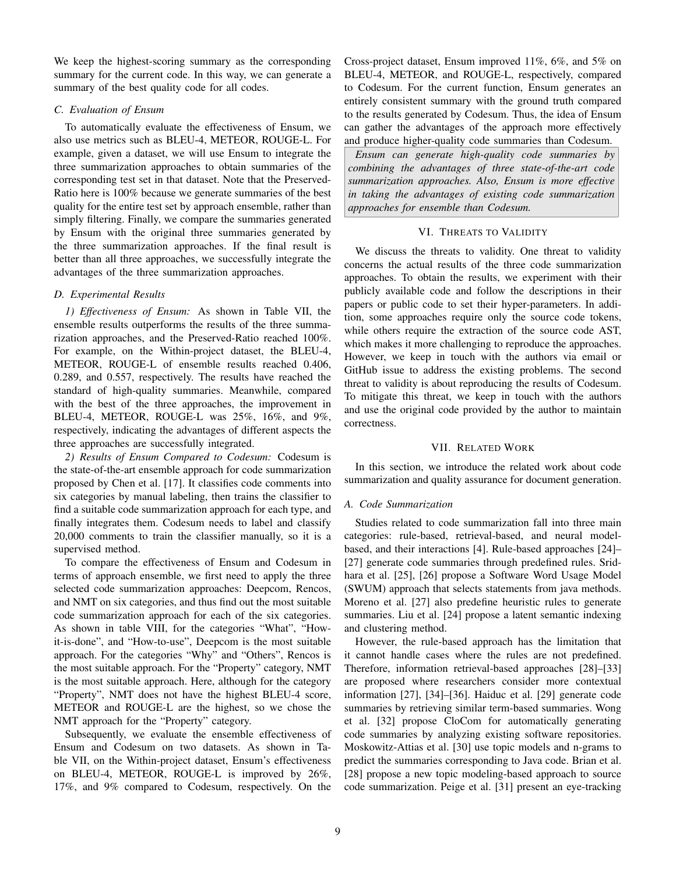We keep the highest-scoring summary as the corresponding summary for the current code. In this way, we can generate a summary of the best quality code for all codes.

# *C. Evaluation of Ensum*

To automatically evaluate the effectiveness of Ensum, we also use metrics such as BLEU-4, METEOR, ROUGE-L. For example, given a dataset, we will use Ensum to integrate the three summarization approaches to obtain summaries of the corresponding test set in that dataset. Note that the Preserved-Ratio here is 100% because we generate summaries of the best quality for the entire test set by approach ensemble, rather than simply filtering. Finally, we compare the summaries generated by Ensum with the original three summaries generated by the three summarization approaches. If the final result is better than all three approaches, we successfully integrate the advantages of the three summarization approaches.

# *D. Experimental Results*

*1) Effectiveness of Ensum:* As shown in Table VII, the ensemble results outperforms the results of the three summarization approaches, and the Preserved-Ratio reached 100%. For example, on the Within-project dataset, the BLEU-4, METEOR, ROUGE-L of ensemble results reached 0.406, 0.289, and 0.557, respectively. The results have reached the standard of high-quality summaries. Meanwhile, compared with the best of the three approaches, the improvement in BLEU-4, METEOR, ROUGE-L was 25%, 16%, and 9%, respectively, indicating the advantages of different aspects the three approaches are successfully integrated.

*2) Results of Ensum Compared to Codesum:* Codesum is the state-of-the-art ensemble approach for code summarization proposed by Chen et al. [17]. It classifies code comments into six categories by manual labeling, then trains the classifier to find a suitable code summarization approach for each type, and finally integrates them. Codesum needs to label and classify 20,000 comments to train the classifier manually, so it is a supervised method.

To compare the effectiveness of Ensum and Codesum in terms of approach ensemble, we first need to apply the three selected code summarization approaches: Deepcom, Rencos, and NMT on six categories, and thus find out the most suitable code summarization approach for each of the six categories. As shown in table VIII, for the categories "What", "Howit-is-done", and "How-to-use", Deepcom is the most suitable approach. For the categories "Why" and "Others", Rencos is the most suitable approach. For the "Property" category, NMT is the most suitable approach. Here, although for the category "Property", NMT does not have the highest BLEU-4 score, METEOR and ROUGE-L are the highest, so we chose the NMT approach for the "Property" category.

Subsequently, we evaluate the ensemble effectiveness of Ensum and Codesum on two datasets. As shown in Table VII, on the Within-project dataset, Ensum's effectiveness on BLEU-4, METEOR, ROUGE-L is improved by 26%, 17%, and 9% compared to Codesum, respectively. On the Cross-project dataset, Ensum improved 11%, 6%, and 5% on BLEU-4, METEOR, and ROUGE-L, respectively, compared to Codesum. For the current function, Ensum generates an entirely consistent summary with the ground truth compared to the results generated by Codesum. Thus, the idea of Ensum can gather the advantages of the approach more effectively and produce higher-quality code summaries than Codesum.

*Ensum can generate high-quality code summaries by combining the advantages of three state-of-the-art code summarization approaches. Also, Ensum is more effective in taking the advantages of existing code summarization approaches for ensemble than Codesum.*

# VI. THREATS TO VALIDITY

We discuss the threats to validity. One threat to validity concerns the actual results of the three code summarization approaches. To obtain the results, we experiment with their publicly available code and follow the descriptions in their papers or public code to set their hyper-parameters. In addition, some approaches require only the source code tokens, while others require the extraction of the source code AST, which makes it more challenging to reproduce the approaches. However, we keep in touch with the authors via email or GitHub issue to address the existing problems. The second threat to validity is about reproducing the results of Codesum. To mitigate this threat, we keep in touch with the authors and use the original code provided by the author to maintain correctness.

# VII. RELATED WORK

In this section, we introduce the related work about code summarization and quality assurance for document generation.

# *A. Code Summarization*

Studies related to code summarization fall into three main categories: rule-based, retrieval-based, and neural modelbased, and their interactions [4]. Rule-based approaches [24]– [27] generate code summaries through predefined rules. Sridhara et al. [25], [26] propose a Software Word Usage Model (SWUM) approach that selects statements from java methods. Moreno et al. [27] also predefine heuristic rules to generate summaries. Liu et al. [24] propose a latent semantic indexing and clustering method.

However, the rule-based approach has the limitation that it cannot handle cases where the rules are not predefined. Therefore, information retrieval-based approaches [28]–[33] are proposed where researchers consider more contextual information [27], [34]–[36]. Haiduc et al. [29] generate code summaries by retrieving similar term-based summaries. Wong et al. [32] propose CloCom for automatically generating code summaries by analyzing existing software repositories. Moskowitz-Attias et al. [30] use topic models and n-grams to predict the summaries corresponding to Java code. Brian et al. [28] propose a new topic modeling-based approach to source code summarization. Peige et al. [31] present an eye-tracking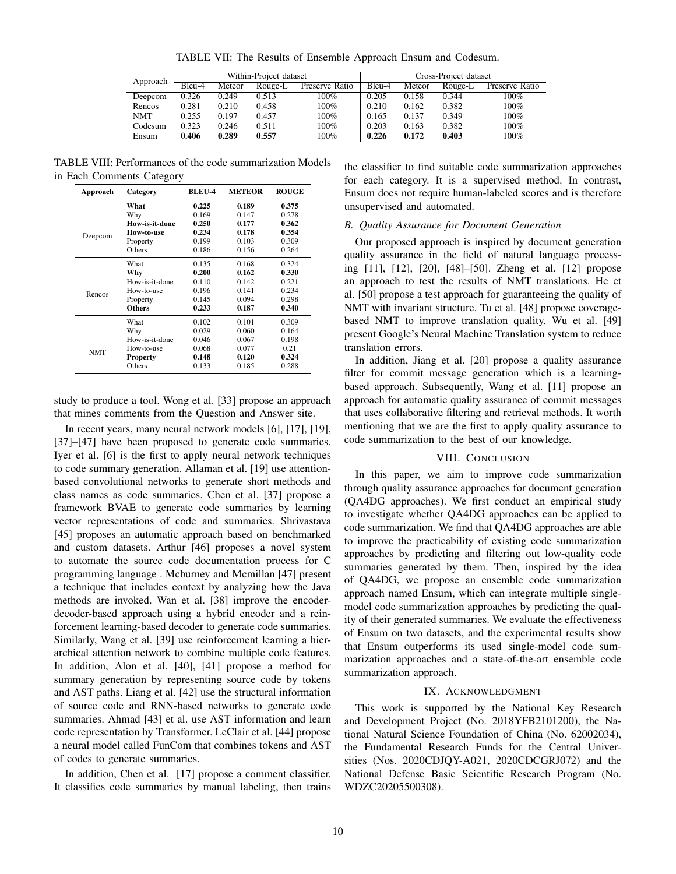TABLE VII: The Results of Ensemble Approach Ensum and Codesum.

| Approach |          |        | Within-Project dataset |                | Cross-Project dataset |        |         |                |  |
|----------|----------|--------|------------------------|----------------|-----------------------|--------|---------|----------------|--|
|          | $Bleu-4$ | Meteor | Rouge-L                | Preserve Ratio | Bleu-4                | Meteor | Rouge-L | Preserve Ratio |  |
| Deepcom  | 0.326    | 0.249  | 0.513                  | 100%           | 0.205                 | 0.158  | 0.344   | $100\%$        |  |
| Rencos   | 0.281    | 0.210  | 0.458                  | $100\%$        | 0.210                 | 0.162  | 0.382   | 100%           |  |
| NMT      | 0.255    | 0.197  | 0.457                  | $100\%$        | 0.165                 | 0.137  | 0.349   | 100%           |  |
| Codesum  | 0.323    | 0.246  | 0.511                  | $100\%$        | 0.203                 | 0.163  | 0.382   | 100%           |  |
| Ensum    | 0.406    | 0.289  | 0.557                  | 100%           | 0.226                 | 0.172  | 0.403   | 100%           |  |

TABLE VIII: Performances of the code summarization Models in Each Comments Category

| Approach   | Category       | <b>BLEU-4</b> | <b>METEOR</b> | <b>ROUGE</b> |
|------------|----------------|---------------|---------------|--------------|
|            | What           | 0.225         | 0.189         | 0.375        |
|            | Why            | 0.169         | 0.147         | 0.278        |
|            | How-is-it-done | 0.250         | 0.177         | 0.362        |
|            | How-to-use     | 0.234         | 0.178         | 0.354        |
| Deepcom    | Property       | 0.199         | 0.103         | 0.309        |
|            | Others         | 0.186         | 0.156         | 0.264        |
|            | What           | 0.135         | 0.168         | 0.324        |
|            | Why            | 0.200         | 0.162         | 0.330        |
|            | How-is-it-done | 0.110         | 0.142         | 0.221        |
| Rencos     | How-to-use     | 0.196         | 0.141         | 0.234        |
|            | Property       | 0.145         | 0.094         | 0.298        |
|            | <b>Others</b>  | 0.233         | 0.187         | 0.340        |
|            | What           | 0.102         | 0.101         | 0.309        |
|            | Why            | 0.029         | 0.060         | 0.164        |
|            | How-is-it-done | 0.046         | 0.067         | 0.198        |
| <b>NMT</b> | How-to-use     | 0.068         | 0.077         | 0.21         |
|            | Property       | 0.148         | 0.120         | 0.324        |
|            | Others         | 0.133         | 0.185         | 0.288        |

study to produce a tool. Wong et al. [33] propose an approach that mines comments from the Question and Answer site.

In recent years, many neural network models [6], [17], [19], [37]–[47] have been proposed to generate code summaries. Iyer et al. [6] is the first to apply neural network techniques to code summary generation. Allaman et al. [19] use attentionbased convolutional networks to generate short methods and class names as code summaries. Chen et al. [37] propose a framework BVAE to generate code summaries by learning vector representations of code and summaries. Shrivastava [45] proposes an automatic approach based on benchmarked and custom datasets. Arthur [46] proposes a novel system to automate the source code documentation process for C programming language . Mcburney and Mcmillan [47] present a technique that includes context by analyzing how the Java methods are invoked. Wan et al. [38] improve the encoderdecoder-based approach using a hybrid encoder and a reinforcement learning-based decoder to generate code summaries. Similarly, Wang et al. [39] use reinforcement learning a hierarchical attention network to combine multiple code features. In addition, Alon et al. [40], [41] propose a method for summary generation by representing source code by tokens and AST paths. Liang et al. [42] use the structural information of source code and RNN-based networks to generate code summaries. Ahmad [43] et al. use AST information and learn code representation by Transformer. LeClair et al. [44] propose a neural model called FunCom that combines tokens and AST of codes to generate summaries.

In addition, Chen et al. [17] propose a comment classifier. It classifies code summaries by manual labeling, then trains the classifier to find suitable code summarization approaches for each category. It is a supervised method. In contrast, Ensum does not require human-labeled scores and is therefore unsupervised and automated.

# *B. Quality Assurance for Document Generation*

Our proposed approach is inspired by document generation quality assurance in the field of natural language processing [11], [12], [20], [48]–[50]. Zheng et al. [12] propose an approach to test the results of NMT translations. He et al. [50] propose a test approach for guaranteeing the quality of NMT with invariant structure. Tu et al. [48] propose coveragebased NMT to improve translation quality. Wu et al. [49] present Google's Neural Machine Translation system to reduce translation errors.

In addition, Jiang et al. [20] propose a quality assurance filter for commit message generation which is a learningbased approach. Subsequently, Wang et al. [11] propose an approach for automatic quality assurance of commit messages that uses collaborative filtering and retrieval methods. It worth mentioning that we are the first to apply quality assurance to code summarization to the best of our knowledge.

# VIII. CONCLUSION

In this paper, we aim to improve code summarization through quality assurance approaches for document generation (QA4DG approaches). We first conduct an empirical study to investigate whether QA4DG approaches can be applied to code summarization. We find that QA4DG approaches are able to improve the practicability of existing code summarization approaches by predicting and filtering out low-quality code summaries generated by them. Then, inspired by the idea of QA4DG, we propose an ensemble code summarization approach named Ensum, which can integrate multiple singlemodel code summarization approaches by predicting the quality of their generated summaries. We evaluate the effectiveness of Ensum on two datasets, and the experimental results show that Ensum outperforms its used single-model code summarization approaches and a state-of-the-art ensemble code summarization approach.

# IX. ACKNOWLEDGMENT

This work is supported by the National Key Research and Development Project (No. 2018YFB2101200), the National Natural Science Foundation of China (No. 62002034), the Fundamental Research Funds for the Central Universities (Nos. 2020CDJQY-A021, 2020CDCGRJ072) and the National Defense Basic Scientific Research Program (No. WDZC20205500308).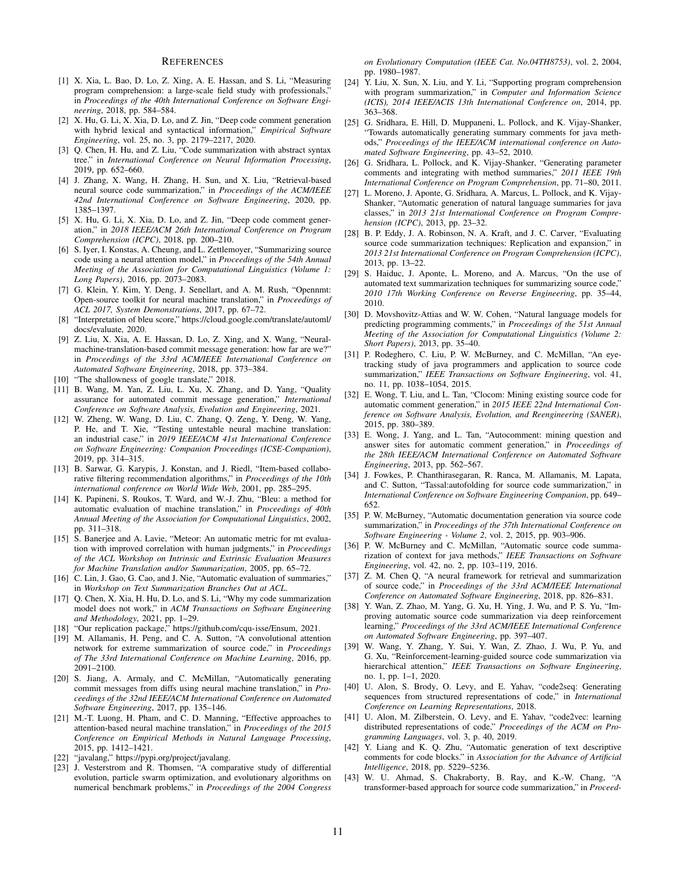#### **REFERENCES**

- [1] X. Xia, L. Bao, D. Lo, Z. Xing, A. E. Hassan, and S. Li, "Measuring program comprehension: a large-scale field study with professionals, in *Proceedings of the 40th International Conference on Software Engineering*, 2018, pp. 584–584.
- [2] X. Hu, G. Li, X. Xia, D. Lo, and Z. Jin, "Deep code comment generation with hybrid lexical and syntactical information," *Empirical Software Engineering*, vol. 25, no. 3, pp. 2179–2217, 2020.
- [3] Q. Chen, H. Hu, and Z. Liu, "Code summarization with abstract syntax tree." in *International Conference on Neural Information Processing*, 2019, pp. 652–660.
- [4] J. Zhang, X. Wang, H. Zhang, H. Sun, and X. Liu, "Retrieval-based neural source code summarization," in *Proceedings of the ACM/IEEE 42nd International Conference on Software Engineering*, 2020, pp. 1385–1397.
- [5] X. Hu, G. Li, X. Xia, D. Lo, and Z. Jin, "Deep code comment generation," in *2018 IEEE/ACM 26th International Conference on Program Comprehension (ICPC)*, 2018, pp. 200–210.
- [6] S. Iyer, I. Konstas, A. Cheung, and L. Zettlemoyer, "Summarizing source code using a neural attention model," in *Proceedings of the 54th Annual Meeting of the Association for Computational Linguistics (Volume 1: Long Papers)*, 2016, pp. 2073–2083.
- [7] G. Klein, Y. Kim, Y. Deng, J. Senellart, and A. M. Rush, "Opennmt: Open-source toolkit for neural machine translation," in *Proceedings of ACL 2017, System Demonstrations*, 2017, pp. 67–72.
- [8] "Interpretation of bleu score," https://cloud.google.com/translate/automl/ docs/evaluate, 2020.
- [9] Z. Liu, X. Xia, A. E. Hassan, D. Lo, Z. Xing, and X. Wang, "Neuralmachine-translation-based commit message generation: how far are we?" in *Proceedings of the 33rd ACM/IEEE International Conference on Automated Software Engineering*, 2018, pp. 373–384.
- [10] "The shallowness of google translate," 2018.
- [11] B. Wang, M. Yan, Z. Liu, L. Xu, X. Zhang, and D. Yang, "Quality assurance for automated commit message generation," *International Conference on Software Analysis, Evolution and Engineering*, 2021.
- [12] W. Zheng, W. Wang, D. Liu, C. Zhang, Q. Zeng, Y. Deng, W. Yang, P. He, and T. Xie, "Testing untestable neural machine translation: an industrial case," in *2019 IEEE/ACM 41st International Conference on Software Engineering: Companion Proceedings (ICSE-Companion)*, 2019, pp. 314–315.
- [13] B. Sarwar, G. Karypis, J. Konstan, and J. Riedl, "Item-based collaborative filtering recommendation algorithms," in *Proceedings of the 10th international conference on World Wide Web*, 2001, pp. 285–295.
- [14] K. Papineni, S. Roukos, T. Ward, and W.-J. Zhu, "Bleu: a method for automatic evaluation of machine translation," in *Proceedings of 40th Annual Meeting of the Association for Computational Linguistics*, 2002, pp. 311–318.
- [15] S. Banerjee and A. Lavie, "Meteor: An automatic metric for mt evaluation with improved correlation with human judgments," in *Proceedings of the ACL Workshop on Intrinsic and Extrinsic Evaluation Measures for Machine Translation and/or Summarization*, 2005, pp. 65–72.
- [16] C. Lin, J. Gao, G. Cao, and J. Nie, "Automatic evaluation of summaries," in *Workshop on Text Summarization Branches Out at ACL*.
- [17] Q. Chen, X. Xia, H. Hu, D. Lo, and S. Li, "Why my code summarization model does not work," in *ACM Transactions on Software Engineering and Methodology*, 2021, pp. 1–29.
- [18] "Our replication package," https://github.com/cqu-isse/Ensum, 2021.
- [19] M. Allamanis, H. Peng, and C. A. Sutton, "A convolutional attention network for extreme summarization of source code," in *Proceedings of The 33rd International Conference on Machine Learning*, 2016, pp. 2091–2100.
- [20] S. Jiang, A. Armaly, and C. McMillan, "Automatically generating commit messages from diffs using neural machine translation," in *Proceedings of the 32nd IEEE/ACM International Conference on Automated Software Engineering*, 2017, pp. 135–146.
- [21] M.-T. Luong, H. Pham, and C. D. Manning, "Effective approaches to attention-based neural machine translation," in *Proceedings of the 2015 Conference on Empirical Methods in Natural Language Processing*, 2015, pp. 1412–1421.
- [22] "javalang," https://pypi.org/project/javalang.
- [23] J. Vesterstrom and R. Thomsen, "A comparative study of differential evolution, particle swarm optimization, and evolutionary algorithms on numerical benchmark problems," in *Proceedings of the 2004 Congress*

*on Evolutionary Computation (IEEE Cat. No.04TH8753)*, vol. 2, 2004, pp. 1980–1987.

- [24] Y. Liu, X. Sun, X. Liu, and Y. Li, "Supporting program comprehension with program summarization," in *Computer and Information Science (ICIS), 2014 IEEE/ACIS 13th International Conference on*, 2014, pp. 363–368.
- [25] G. Sridhara, E. Hill, D. Muppaneni, L. Pollock, and K. Vijay-Shanker, "Towards automatically generating summary comments for java methods," *Proceedings of the IEEE/ACM international conference on Automated Software Engineering*, pp. 43–52, 2010.
- [26] G. Sridhara, L. Pollock, and K. Vijay-Shanker, "Generating parameter comments and integrating with method summaries," *2011 IEEE 19th International Conference on Program Comprehension*, pp. 71–80, 2011.
- [27] L. Moreno, J. Aponte, G. Sridhara, A. Marcus, L. Pollock, and K. Vijay-Shanker, "Automatic generation of natural language summaries for java classes," in *2013 21st International Conference on Program Comprehension (ICPC)*, 2013, pp. 23–32.
- [28] B. P. Eddy, J. A. Robinson, N. A. Kraft, and J. C. Carver, "Evaluating source code summarization techniques: Replication and expansion," in *2013 21st International Conference on Program Comprehension (ICPC)*, 2013, pp. 13–22.
- [29] S. Haiduc, J. Aponte, L. Moreno, and A. Marcus, "On the use of automated text summarization techniques for summarizing source code," *2010 17th Working Conference on Reverse Engineering*, pp. 35–44, 2010.
- [30] D. Movshovitz-Attias and W. W. Cohen, "Natural language models for predicting programming comments," in *Proceedings of the 51st Annual Meeting of the Association for Computational Linguistics (Volume 2: Short Papers)*, 2013, pp. 35–40.
- [31] P. Rodeghero, C. Liu, P. W. McBurney, and C. McMillan, "An eyetracking study of java programmers and application to source code summarization," *IEEE Transactions on Software Engineering*, vol. 41, no. 11, pp. 1038–1054, 2015.
- [32] E. Wong, T. Liu, and L. Tan, "Clocom: Mining existing source code for automatic comment generation," in *2015 IEEE 22nd International Conference on Software Analysis, Evolution, and Reengineering (SANER)*, 2015, pp. 380–389.
- [33] E. Wong, J. Yang, and L. Tan, "Autocomment: mining question and answer sites for automatic comment generation," in *Proceedings of the 28th IEEE/ACM International Conference on Automated Software Engineering*, 2013, pp. 562–567.
- [34] J. Fowkes, P. Chanthirasegaran, R. Ranca, M. Allamanis, M. Lapata, and C. Sutton, "Tassal:autofolding for source code summarization," in *International Conference on Software Engineering Companion*, pp. 649– 652.
- [35] P. W. McBurney, "Automatic documentation generation via source code summarization," in *Proceedings of the 37th International Conference on Software Engineering - Volume 2*, vol. 2, 2015, pp. 903–906.
- [36] P. W. McBurney and C. McMillan, "Automatic source code summarization of context for java methods," *IEEE Transactions on Software Engineering*, vol. 42, no. 2, pp. 103–119, 2016.
- [37] Z. M. Chen Q, "A neural framework for retrieval and summarization of source code," in *Proceedings of the 33rd ACM/IEEE International Conference on Automated Software Engineering*, 2018, pp. 826–831.
- [38] Y. Wan, Z. Zhao, M. Yang, G. Xu, H. Ying, J. Wu, and P. S. Yu, "Improving automatic source code summarization via deep reinforcement learning," *Proceedings of the 33rd ACM/IEEE International Conference on Automated Software Engineering*, pp. 397–407.
- [39] W. Wang, Y. Zhang, Y. Sui, Y. Wan, Z. Zhao, J. Wu, P. Yu, and G. Xu, "Reinforcement-learning-guided source code summarization via hierarchical attention," *IEEE Transactions on Software Engineering*, no. 1, pp. 1–1, 2020.
- [40] U. Alon, S. Brody, O. Levy, and E. Yahav, "code2seq: Generating sequences from structured representations of code," in *International Conference on Learning Representations*, 2018.
- [41] U. Alon, M. Zilberstein, O. Levy, and E. Yahav, "code2vec: learning distributed representations of code," *Proceedings of the ACM on Programming Languages*, vol. 3, p. 40, 2019.
- [42] Y. Liang and K. Q. Zhu, "Automatic generation of text descriptive comments for code blocks." in *Association for the Advance of Artificial Intelligence*, 2018, pp. 5229–5236.
- [43] W. U. Ahmad, S. Chakraborty, B. Ray, and K.-W. Chang, "A transformer-based approach for source code summarization," in *Proceed-*